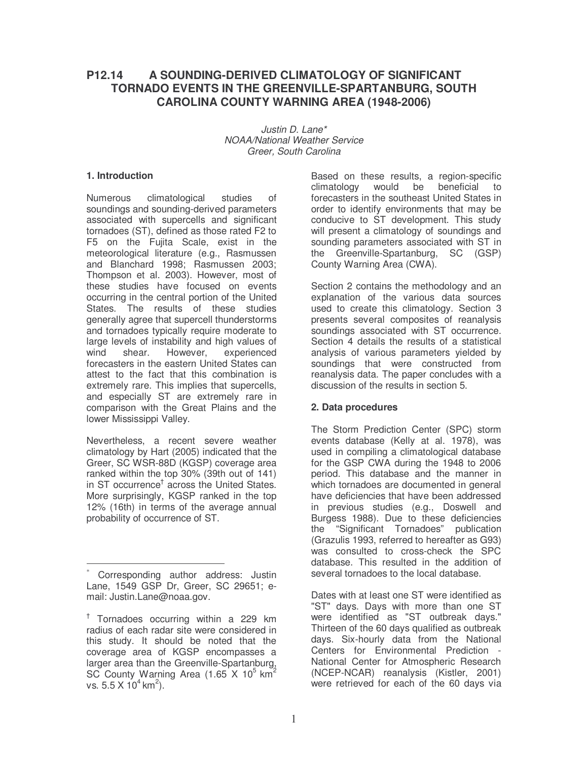# **P12.14 A SOUNDING-DERIVED CLIMATOLOGY OF SIGNIFICANT TORNADO EVENTS IN THE GREENVILLE-SPARTANBURG, SOUTH CAROLINA COUNTY WARNING AREA (1948-2006)**

*Justin D. Lane\* NOAA/National Weather Service Greer, South Carolina*

#### **1. Introduction**

Numerous climatological studies of soundings and sounding-derived parameters associated with supercells and significant tornadoes (ST), defined as those rated F2 to F5 on the Fujita Scale, exist in the meteorological literature (e.g., Rasmussen and Blanchard 1998; Rasmussen 2003; Thompson et al. 2003). However, most of these studies have focused on events occurring in the central portion of the United States. The results of these studies generally agree that supercell thunderstorms and tornadoes typically require moderate to large levels of instability and high values of wind shear. However, experienced forecasters in the eastern United States can attest to the fact that this combination is extremely rare. This implies that supercells, and especially ST are extremely rare in comparison with the Great Plains and the lower Mississippi Valley.

Nevertheless, a recent severe weather climatology by Hart (2005) indicated that the Greer, SC WSR-88D (KGSP) coverage area ranked within the top 30% (39th out of 141) in ST occurrence<sup>†</sup> across the United States. More surprisingly, KGSP ranked in the top 12% (16th) in terms of the average annual probability of occurrence of ST.

Based on these results, a region-specific climatology would be beneficial to forecasters in the southeast United States in order to identify environments that may be conducive to ST development. This study will present a climatology of soundings and sounding parameters associated with ST in the Greenville-Spartanburg, SC (GSP) County Warning Area (CWA).

Section 2 contains the methodology and an explanation of the various data sources used to create this climatology. Section 3 presents several composites of reanalysis soundings associated with ST occurrence. Section 4 details the results of a statistical analysis of various parameters yielded by soundings that were constructed from reanalysis data. The paper concludes with a discussion of the results in section 5.

## **2. Data procedures**

The Storm Prediction Center (SPC) storm events database (Kelly at al. 1978), was used in compiling a climatological database for the GSP CWA during the 1948 to 2006 period. This database and the manner in which tornadoes are documented in general have deficiencies that have been addressed in previous studies (e.g., Doswell and Burgess 1988). Due to these deficiencies the "Significant Tornadoes" publication (Grazulis 1993, referred to hereafter as G93) was consulted to cross-check the SPC database. This resulted in the addition of several tornadoes to the local database.

Dates with at least one ST were identified as "ST" days. Days with more than one ST were identified as "ST outbreak days." Thirteen of the 60 days qualified as outbreak days. Six-hourly data from the National Centers for Environmental Prediction - National Center for Atmospheric Research (NCEP-NCAR) reanalysis (Kistler, 2001) were retrieved for each of the 60 days via

Corresponding author address: Justin Lane, 1549 GSP Dr, Greer, SC 29651; email: Justin.Lane@noaa.gov.

<sup>†</sup> Tornadoes occurring within a 229 km radius of each radar site were considered in this study. It should be noted that the coverage area of KGSP encompasses a larger area than the Greenville-Spartanburg, SC County Warning Area (1.65 X 10<sup>5</sup> km<sup>2</sup> vs. 5.5 X  $10^4$  km<sup>2</sup>).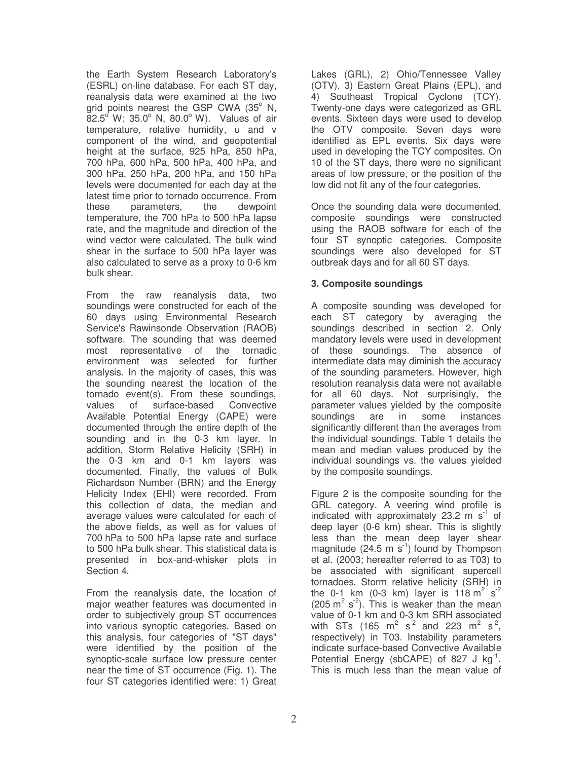the Earth System Research Laboratory's (ESRL) on-line database. For each ST day, reanalysis data were examined at the two grid points nearest the GSP CWA (35° N,  $82.5^{\circ}$  W; 35.0° N, 80.0° W). Values of air temperature, relative humidity, u and v component of the wind, and geopotential height at the surface, 925 hPa, 850 hPa, 700 hPa, 600 hPa, 500 hPa, 400 hPa, and 300 hPa, 250 hPa, 200 hPa, and 150 hPa levels were documented for each day at the latest time prior to tornado occurrence. From these parameters, the dewpoint temperature, the 700 hPa to 500 hPa lapse rate, and the magnitude and direction of the wind vector were calculated. The bulk wind shear in the surface to 500 hPa layer was also calculated to serve as a proxy to 0-6 km bulk shear.

From the raw reanalysis data, two soundings were constructed for each of the 60 days using Environmental Research Service's Rawinsonde Observation (RAOB) software. The sounding that was deemed most representative of the tornadic environment was selected for further analysis. In the majority of cases, this was the sounding nearest the location of the tornado event(s). From these soundings, values of surface-based Convective Available Potential Energy (CAPE) were documented through the entire depth of the sounding and in the 0-3 km layer. In addition, Storm Relative Helicity (SRH) in the 0-3 km and 0-1 km layers was documented. Finally, the values of Bulk Richardson Number (BRN) and the Energy Helicity Index (EHI) were recorded. From this collection of data, the median and average values were calculated for each of the above fields, as well as for values of 700 hPa to 500 hPa lapse rate and surface to 500 hPa bulk shear. This statistical data is presented in box-and-whisker plots in Section 4.

From the reanalysis date, the location of major weather features was documented in order to subjectively group ST occurrences into various synoptic categories. Based on this analysis, four categories of "ST days" were identified by the position of the synoptic-scale surface low pressure center near the time of ST occurrence (Fig. 1). The four ST categories identified were: 1) Great

Lakes (GRL), 2) Ohio/Tennessee Valley (OTV), 3) Eastern Great Plains (EPL), and 4) Southeast Tropical Cyclone (TCY). Twenty-one days were categorized as GRL events. Sixteen days were used to develop the OTV composite. Seven days were identified as EPL events. Six days were used in developing the TCY composites. On 10 of the ST days, there were no significant areas of low pressure, or the position of the low did not fit any of the four categories.

Once the sounding data were documented, composite soundings were constructed using the RAOB software for each of the four ST synoptic categories. Composite soundings were also developed for ST outbreak days and for all 60 ST days.

## **3. Composite soundings**

A composite sounding was developed for each ST category by averaging the soundings described in section 2. Only mandatory levels were used in development of these soundings. The absence of intermediate data may diminish the accuracy of the sounding parameters. However, high resolution reanalysis data were not available for all 60 days. Not surprisingly, the parameter values yielded by the composite soundings are in some instances significantly different than the averages from the individual soundings. Table 1 details the mean and median values produced by the individual soundings vs. the values yielded by the composite soundings.

Figure 2 is the composite sounding for the GRL category. A veering wind profile is indicated with approximately 23.2 m  $s^{-1}$  of deep layer (0-6 km) shear. This is slightly less than the mean deep layer shear magnitude (24.5 m s<sup>-1</sup>) found by Thompson et al. (2003; hereafter referred to as T03) to be associated with significant supercell tornadoes. Storm relative helicity (SRH) in the 0-1 km (0-3 km) layer is 118 m<sup>2</sup> s<sup>2</sup> (205  $\mathrm{m}^2$  s<sup>-2</sup>). This is weaker than the mean value of 0-1 km and 0-3 km SRH associated with STs (165 m<sup>2</sup> s<sup>-2</sup> and 223 m<sup>2</sup> s<sup>-2</sup>, respectively) in T03. Instability parameters indicate surface-based Convective Available Potential Energy (sbCAPE) of 827 J  $kg^{-1}$ . This is much less than the mean value of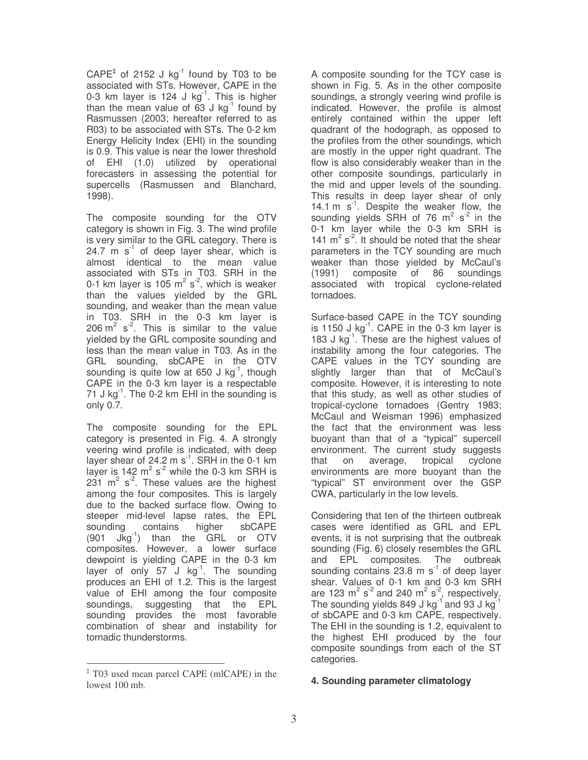$CAPE<sup>‡</sup>$  of 2152 J kg<sup>-1</sup> found by T03 to be associated with STs. However, CAPE in the 0-3 km layer is 124 J  $kg^{-1}$ . This is higher than the mean value of  $63$  J kg<sup>-1</sup> found by Rasmussen (2003; hereafter referred to as R03) to be associated with STs. The 0-2 km Energy Helicity Index (EHI) in the sounding is 0.9. This value is near the lower threshold of EHI (1.0) utilized by operational forecasters in assessing the potential for supercells (Rasmussen and Blanchard, 1998).

The composite sounding for the OTV category is shown in Fig. 3. The wind profile is very similar to the GRL category. There is 24.7  $\text{m s}^1$  of deep layer shear, which is almost identical to the mean value associated with STs in T03. SRH in the 0-1 km layer is 105  $m^2$  s<sup>-2</sup>, which is weaker than the values yielded by the GRL sounding, and weaker than the mean value in T03. SRH in the 0-3 km layer is 206  $m^2$  s<sup>-2</sup>. This is similar to the value yielded by the GRL composite sounding and less than the mean value in T03. As in the GRL sounding, sbCAPE in the OTV sounding is quite low at 650 J kg<sup>-1</sup>, though CAPE in the 0-3 km layer is a respectable 71 J kg<sup>-1</sup>. The 0-2 km EHI in the sounding is only 0.7.

The composite sounding for the EPL category is presented in Fig. 4. A strongly veering wind profile is indicated, with deep layer shear of 24.2 m s<sup>1</sup>. SRH in the 0-1 km layer is 142  $m^2 s^2$  while the 0-3 km SRH is  $231$  m<sup>2</sup> s<sup>-2</sup>. These values are the highest among the four composites. This is largely due to the backed surface flow. Owing to steeper mid-level lapse rates, the EPL sounding contains higher sbCAPE  $(901 \text{ Jkg}^{-1})$  than the GRL or OTV composites. However, a lower surface dewpoint is yielding CAPE in the 0-3 km layer of only 57 J kg<sup>-1</sup>. The sounding produces an EHI of 1.2. This is the largest value of EHI among the four composite soundings, suggesting that the EPL sounding provides the most favorable combination of shear and instability for tornadic thunderstorms.

A composite sounding for the TCY case is shown in Fig. 5. As in the other composite soundings, a strongly veering wind profile is indicated. However, the profile is almost entirely contained within the upper left quadrant of the hodograph, as opposed to the profiles from the other soundings, which are mostly in the upper right quadrant. The flow is also considerably weaker than in the other composite soundings, particularly in the mid and upper levels of the sounding. This results in deep layer shear of only 14.1 m s<sup>1</sup>. Despite the weaker flow, the sounding yields SRH of 76  $m^2$  s<sup>2</sup> in the 0-1 km layer while the 0-3 km SRH is 141  $m^2 s^2$ . It should be noted that the shear parameters in the TCY sounding are much weaker than those yielded by McCaul's (1991) composite of 86 soundings associated with tropical cyclone-related tornadoes.

Surface-based CAPE in the TCY sounding is 1150 J  $kg^{-1}$ . CAPE in the 0-3 km layer is 183 J kg<sup>-1</sup>. These are the highest values of instability among the four categories. The CAPE values in the TCY sounding are slightly larger than that of McCaul's composite. However, it is interesting to note that this study, as well as other studies of tropical-cyclone tornadoes (Gentry 1983; McCaul and Weisman 1996) emphasized the fact that the environment was less buoyant than that of a "typical" supercell environment. The current study suggests that on average, tropical cyclone environments are more buoyant than the "typical" ST environment over the GSP CWA, particularly in the low levels.

Considering that ten of the thirteen outbreak cases were identified as GRL and EPL events, it is not surprising that the outbreak sounding (Fig. 6) closely resembles the GRL and EPL composites. The outbreak sounding contains 23.8 m  $s^{-1}$  of deep layer shear. Values of 0-1 km and 0-3 km SRH are 123  $m^2 s^2$  and 240  $m^2 s^2$ , respectively. The sounding yields 849 J kg<sup>-1</sup> and 93 J kg<sup>-1</sup> of sbCAPE and 0-3 km CAPE, respectively. The EHI in the sounding is 1.2, equivalent to the highest EHI produced by the four composite soundings from each of the ST categories.

## **4. Sounding parameter climatology**

<sup>‡</sup> T03 used mean parcel CAPE (mlCAPE) in the lowest 100 mb.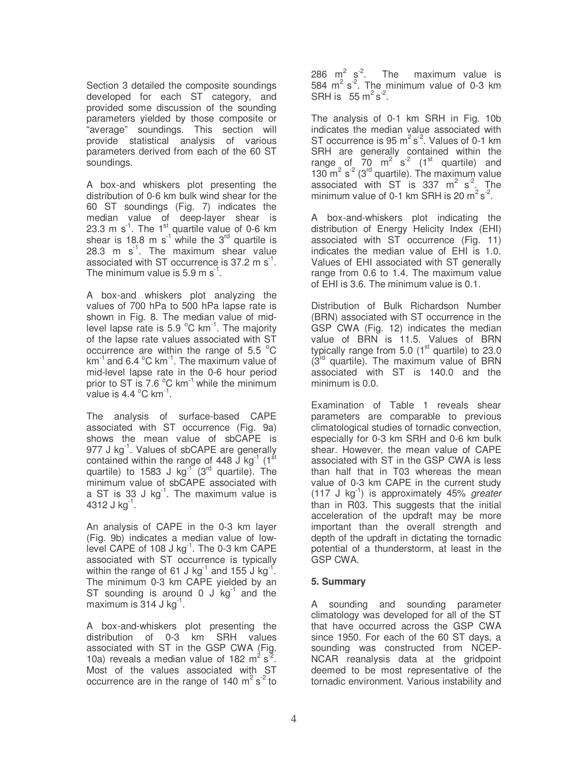Section 3 detailed the composite soundings developed for each ST category, and provided some discussion of the sounding parameters yielded by those composite or "average" soundings. This section will provide statistical analysis of various parameters derived from each of the 60 ST soundings.

A box-and whiskers plot presenting the distribution of 0-6 km bulk wind shear for the 60 ST soundings (Fig. 7) indicates the median value of deep-layer shear is 23.3 m s<sup>1</sup>. The 1<sup>st</sup> quartile value of 0-6 km shear is 18.8 m s<sup>1</sup> while the 3<sup>rd</sup> quartile is 28.3 m s<sup>1</sup>. The maximum shear value associated with ST occurrence is 37.2 m  $\text{s}^{\text{-}1}$ . The minimum value is 5.9 m  $s^{-1}$ .

A box-and whiskers plot analyzing the values of 700 hPa to 500 hPa lapse rate is shown in Fig. 8. The median value of midlevel lapse rate is 5.9 °C km<sup>-1</sup>. The majority of the lapse rate values associated with ST occurrence are within the range of 5.5  $^{\circ}$ C km $^{-1}$  and 6.4  $^{\circ}$ C km $^{-1}$ . The maximum value of mid-level lapse rate in the 0-6 hour period prior to ST is 7.6 °C km<sup>-1</sup> while the minimum  $\overline{\phantom{a}}$  value is 4.4  $\mathrm{^oC}$  km $\mathrm{^{\text{-}1}}$ .

The analysis of surface-based CAPE associated with ST occurrence (Fig. 9a) shows the mean value of sbCAPE is 977 J kg<sup>-1</sup>. Values of sbCAPE are generally contained within the range of 448  $\overline{J}$  kg<sup>-1</sup> (1<sup>st</sup> quartile) to 1583 J kg<sup>-i</sup> (3<sup>rd</sup> quartile). The minimum value of sbCAPE associated with a ST is 33 J  $kg^{-1}$ . The maximum value is 4312 J kg $^{-1}$ .

An analysis of CAPE in the 0-3 km layer (Fig. 9b) indicates a median value of lowlevel CAPE of 108 J kg<sup>-1</sup>. The 0-3 km CAPE associated with ST occurrence is typically within the range of 61 J kg<sup>-1</sup> and 155 J kg<sup>-1</sup>. The minimum 0-3 km CAPE yielded by an ST sounding is around  $0 \text{ J kg}^{-1}$  and the maximum is  $314$  J kg<sup>-1</sup>.

A box-and-whiskers plot presenting the distribution of 0-3 km SRH values associated with ST in the GSP CWA (Fig. 10a) reveals a median value of 182  $m^2 s^2$ . Most of the values associated with ST occurrence are in the range of 140  $m^2 s^2$  to

286  $m^2$  s<sup>-2</sup>. The maximum value is 584  $m^2$  s<sup>2</sup>. The minimum value of 0-3 km SRH is  $55 \text{ m}^2 \text{s}^{-2}$ .

The analysis of 0-1 km SRH in Fig. 10b indicates the median value associated with ST occurrence is  $95 \text{ m}^2 \text{ s}^2$ . Values of 0-1 km SRH are generally contained within the range of  $70 \text{ m}^2 \text{ s}^2$  (1st quartile) and 130  $\text{m}^2$  s<sup>-2</sup> (3<sup>rd</sup> quartile). The maximum value associated with ST is 337  $m^2$  s<sup>2</sup>. The minimum value of 0-1 km SRH is 20  $m^2 s^2$ .

A box-and-whiskers plot indicating the distribution of Energy Helicity Index (EHI) associated with ST occurrence (Fig. 11) indicates the median value of EHI is 1.0. Values of EHI associated with ST generally range from 0.6 to 1.4. The maximum value of EHI is 3.6. The minimum value is 0.1.

Distribution of Bulk Richardson Number (BRN) associated with ST occurrence in the GSP CWA (Fig. 12) indicates the median value of BRN is 11.5. Values of BRN typically range from 5.0 (1<sup>st</sup> quartile) to 23.0 (3<sup>rd</sup> quartile). The maximum value of BRN associated with ST is 140.0 and the minimum is 0.0.

Examination of Table 1 reveals shear parameters are comparable to previous climatological studies of tornadic convection, especially for 0-3 km SRH and 0-6 km bulk shear. However, the mean value of CAPE associated with ST in the GSP CWA is less than half that in T03 whereas the mean value of 0-3 km CAPE in the current study (117 J kg -1 ) is approximately 45% *greater* than in R03. This suggests that the initial acceleration of the updraft may be more important than the overall strength and depth of the updraft in dictating the tornadic potential of a thunderstorm, at least in the GSP CWA.

#### **5. Summary**

A sounding and sounding parameter climatology was developed for all of the ST that have occurred across the GSP CWA since 1950. For each of the 60 ST days, a sounding was constructed from NCEP-NCAR reanalysis data at the gridpoint deemed to be most representative of the tornadic environment. Various instability and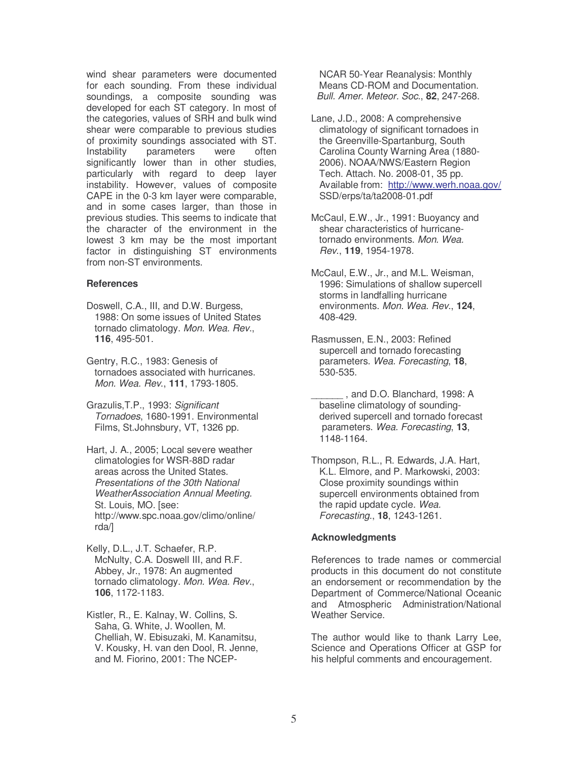wind shear parameters were documented for each sounding. From these individual soundings, a composite sounding was developed for each ST category. In most of the categories, values of SRH and bulk wind shear were comparable to previous studies of proximity soundings associated with ST. Instability parameters were often significantly lower than in other studies, particularly with regard to deep layer instability. However, values of composite CAPE in the 0-3 km layer were comparable, and in some cases larger, than those in previous studies. This seems to indicate that the character of the environment in the lowest 3 km may be the most important factor in distinguishing ST environments from non-ST environments.

#### **References**

Doswell, C.A., III, and D.W. Burgess, 1988: On some issues of United States tornado climatology. *Mon. Wea. Rev*., **116**, 495-501.

Gentry, R.C., 1983: Genesis of tornadoes associated with hurricanes. *Mon. Wea. Rev*., **111**, 1793-1805.

Grazulis,T.P., 1993: *Significant Tornadoes*, 1680-1991. Environmental Films, St.Johnsbury, VT, 1326 pp.

Hart, J. A., 2005; Local severe weather climatologies for WSR-88D radar areas across the United States. *Presentations of the 30th National WeatherAssociation Annual Meeting.* St. Louis, MO. [see: http://www.spc.noaa.gov/climo/online/ rda/]

Kelly, D.L., J.T. Schaefer, R.P. McNulty, C.A. Doswell III, and R.F. Abbey, Jr., 1978: An augmented tornado climatology. *Mon. Wea. Rev*., **106**, 1172-1183.

Kistler, R., E. Kalnay, W. Collins, S. Saha, G. White, J. Woollen, M. Chelliah, W. Ebisuzaki, M. Kanamitsu, V. Kousky, H. van den Dool, R. Jenne, and M. Fiorino, 2001: The NCEP-

NCAR 50-Year Reanalysis: Monthly Means CD-ROM and Documentation. *Bull. Amer. Meteor. Soc*., **82**, 247-268.

Lane, J.D., 2008: A comprehensive climatology of significant tornadoes in the Greenville-Spartanburg, South Carolina County Warning Area (1880- 2006). NOAA/NWS/Eastern Region Tech. Attach. No. 2008-01, 35 pp. Available from: http://www.werh.noaa.gov/ SSD/erps/ta/ta2008-01.pdf

McCaul, E.W., Jr., 1991: Buoyancy and shear characteristics of hurricanetornado environments. *Mon. Wea. Rev*., **119**, 1954-1978.

McCaul, E.W., Jr., and M.L. Weisman, 1996: Simulations of shallow supercell storms in landfalling hurricane environments. *Mon. Wea. Rev*., **124**, 408-429.

Rasmussen, E.N., 2003: Refined supercell and tornado forecasting parameters. *Wea. Forecasting*, **18**, 530-535.

\_\_\_\_\_\_ , and D.O. Blanchard, 1998: A baseline climatology of soundingderived supercell and tornado forecast parameters. *Wea. Forecasting*, **13**, 1148-1164.

Thompson, R.L., R. Edwards, J.A. Hart, K.L. Elmore, and P. Markowski, 2003: Close proximity soundings within supercell environments obtained from the rapid update cycle. *Wea. Forecasting*., **18**, 1243-1261.

## **Acknowledgments**

References to trade names or commercial products in this document do not constitute an endorsement or recommendation by the Department of Commerce/National Oceanic and Atmospheric Administration/National Weather Service.

The author would like to thank Larry Lee, Science and Operations Officer at GSP for his helpful comments and encouragement.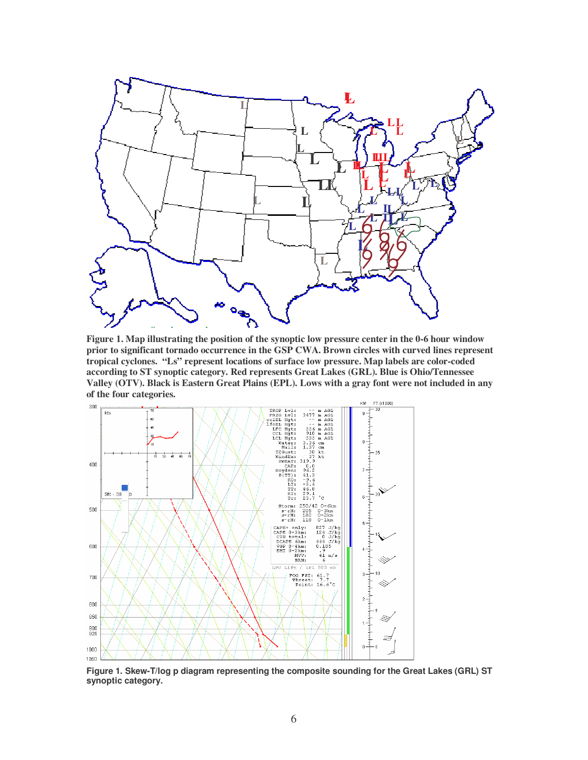

**Figure 1. Map illustrating the position of the synoptic low pressure center in the 0-6 hour window prior to significant tornado occurrence in the GSP CWA. Brown circles with curved lines represent tropical cyclones. "Ls" represent locations of surface low pressure. Map labels are color-coded according to ST synoptic category. Red represents Great Lakes (GRL). Blue is Ohio/Tennessee Valley (OTV). Black is Eastern Great Plains (EPL). Lows with a gray font were not included in any of the four categories.**



**Figure 1. Skew-T/log p diagram representing the composite sounding for the Great Lakes (GRL) ST synoptic category.**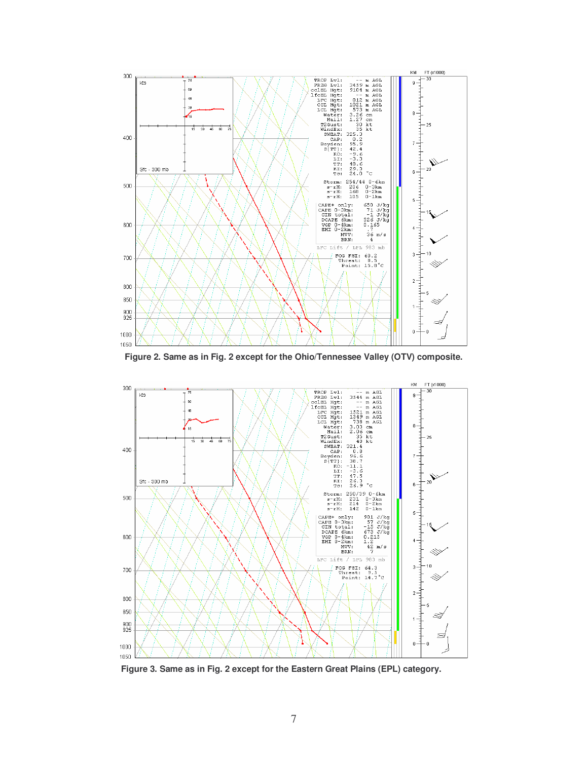

**Figure 2. Same as in Fig. 2 except for the Ohio/Tennessee Valley (OTV) composite.**



**Figure 3. Same as in Fig. 2 except for the Eastern Great Plains (EPL) category.**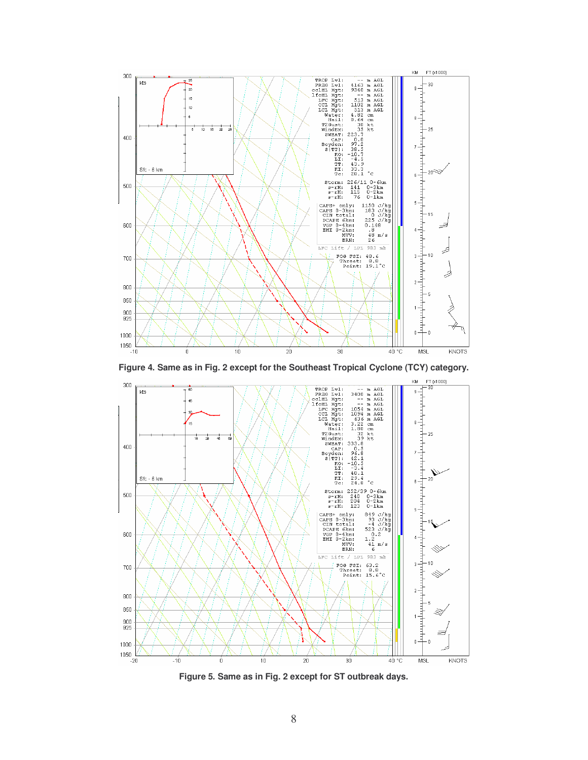

**Figure 4. Same as in Fig. 2 except for the Southeast Tropical Cyclone (TCY) category.**



**Figure 5. Same as in Fig. 2 except for ST outbreak days.**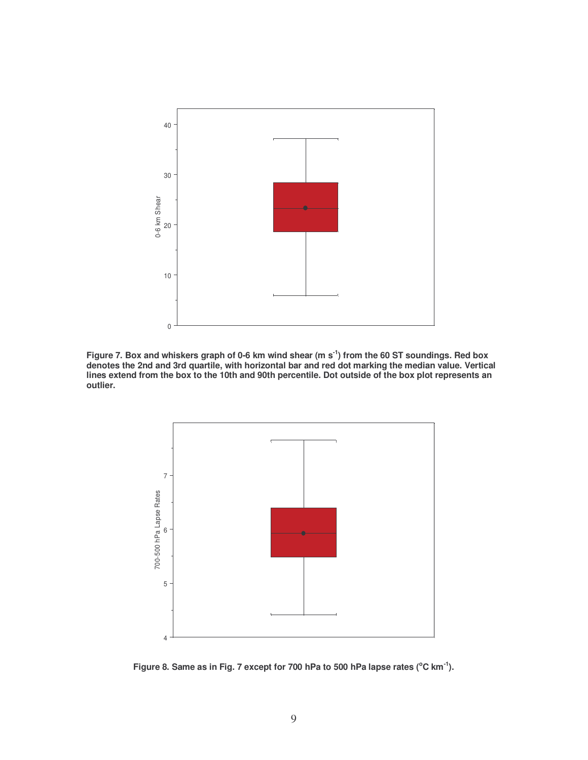

Figure 7. Box and whiskers graph of 0-6 km wind shear (m s<sup>-1</sup>) from the 60 ST soundings. Red box **denotes the 2nd and 3rd quartile, with horizontal bar and red dot marking the median value. Vertical** lines extend from the box to the 10th and 90th percentile. Dot outside of the box plot represents an **outlier.**



Figure 8. Same as in Fig. 7 except for 700 hPa to 500 hPa lapse rates ( $^{\circ}$ C km $^{\text{-}1}$ ).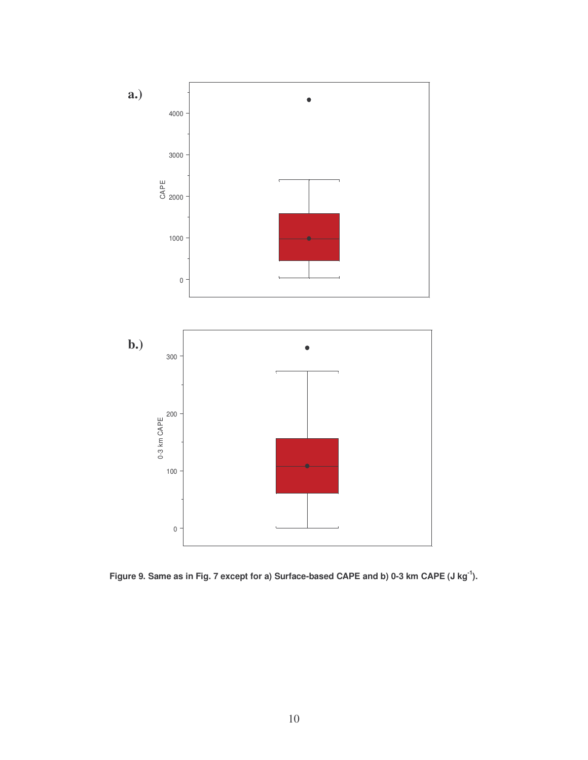

Figure 9. Same as in Fig. 7 except for a) Surface-based CAPE and b) 0-3 km CAPE (J kg<sup>-1</sup>).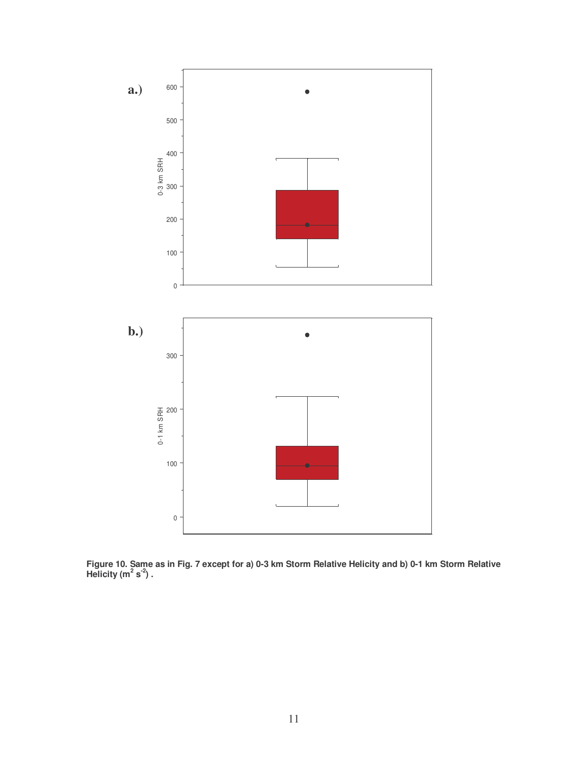

Figure 10. Same as in Fig. 7 except for a) 0-3 km Storm Relative Helicity and b) 0-1 km Storm Relative  $Heli$ city  $(m^2 s^2)$ .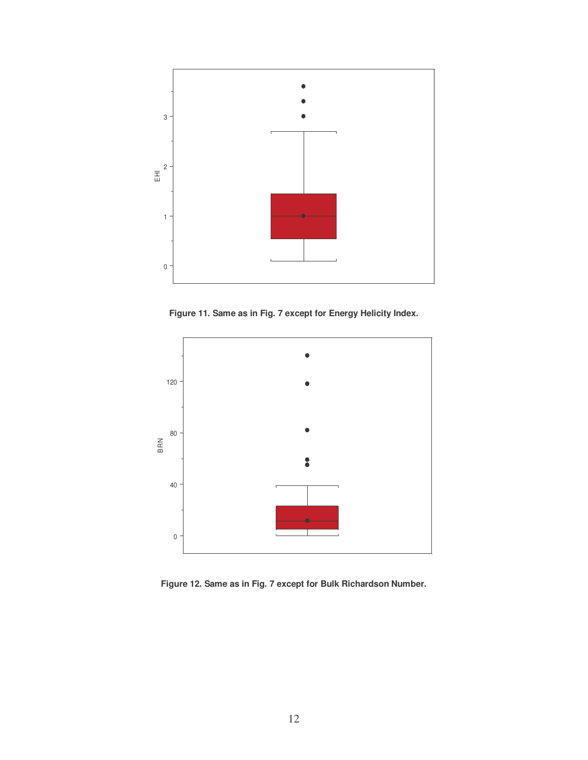

**Figure 11. Same as in Fig. 7 except for Energy Helicity Index.**



**Figure 12. Same as in Fig. 7 except for Bulk Richardson Number.**